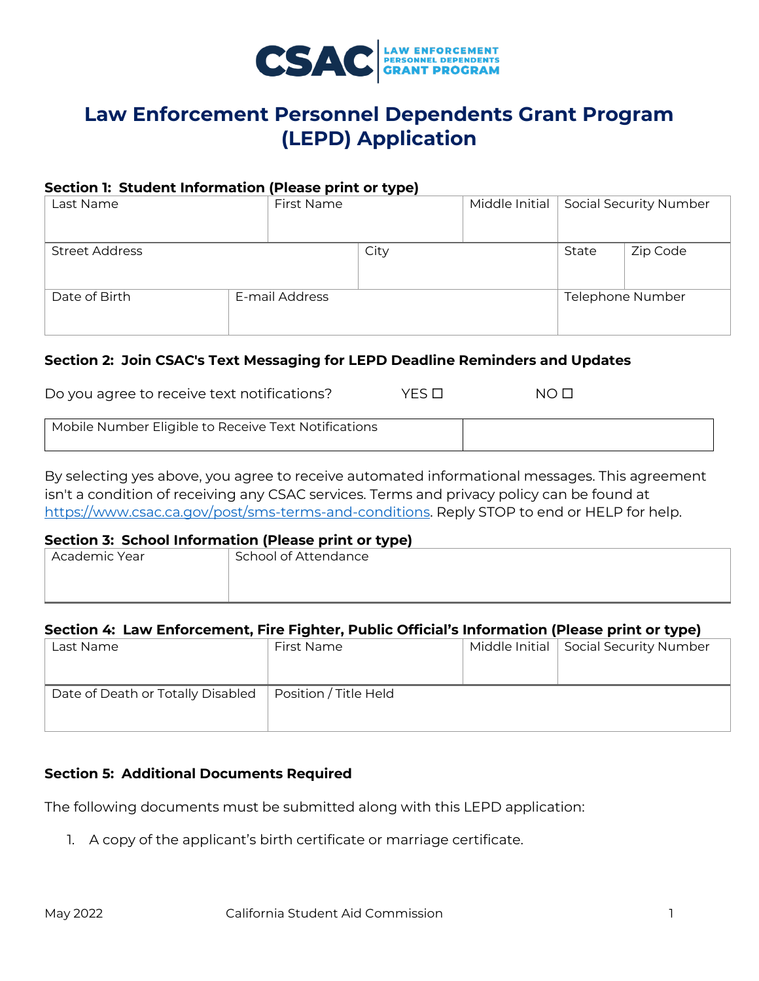

# **Law Enforcement Personnel Dependents Grant Program (LEPD) Application**

#### **Section 1: Student Information (Please print or type)**

| Last Name             | First Name     |      | Middle Initial |       | <b>Social Security Number</b> |
|-----------------------|----------------|------|----------------|-------|-------------------------------|
| <b>Street Address</b> |                | City |                | State | Zip Code                      |
| Date of Birth         | E-mail Address |      |                |       | Telephone Number              |

### **Section 2: Join CSAC's Text Messaging for LEPD Deadline Reminders and Updates**

| Do you agree to receive text notifications? | YFS □ | $N$ $\cap$ |
|---------------------------------------------|-------|------------|
|---------------------------------------------|-------|------------|

| Mobile Number Eligible to Receive Text Notifications |  |
|------------------------------------------------------|--|
|                                                      |  |

By selecting yes above, you agree to receive automated informational messages. This agreement isn't a condition of receiving any CSAC services. Terms and privacy policy can be found at [https://www.csac.ca.gov/post/sms-terms-and-conditions.](https://gcc02.safelinks.protection.outlook.com/?url=https%3A%2F%2Fwww.csac.ca.gov%2Fpost%2Fsms-terms-and-conditions&data=05%7C01%7CGabrielle.Fajardo%40csac.ca.gov%7C63236e31f5cf48603add08da391f0725%7C0813557df08148d4a5b7aa30aacd839a%7C0%7C0%7C637885102674936725%7CUnknown%7CTWFpbGZsb3d8eyJWIjoiMC4wLjAwMDAiLCJQIjoiV2luMzIiLCJBTiI6Ik1haWwiLCJXVCI6Mn0%3D%7C3000%7C%7C%7C&sdata=XePOx2xsQKcs7aOqBAUtjNhUgAzXXhkIRkSlenAHPl0%3D&reserved=0) Reply STOP to end or HELP for help.

#### **Section 3: School Information (Please print or type)**

| Academic Year | School of Attendance |
|---------------|----------------------|
|               |                      |
|               |                      |

## **Section 4: Law Enforcement, Fire Fighter, Public Official's Information (Please print or type)**

| Last Name                         | First Name            | Middle Initial   Social Security Number |
|-----------------------------------|-----------------------|-----------------------------------------|
|                                   |                       |                                         |
|                                   |                       |                                         |
| Date of Death or Totally Disabled | Position / Title Held |                                         |
|                                   |                       |                                         |
|                                   |                       |                                         |

## **Section 5: Additional Documents Required**

The following documents must be submitted along with this LEPD application:

1. A copy of the applicant's birth certificate or marriage certificate.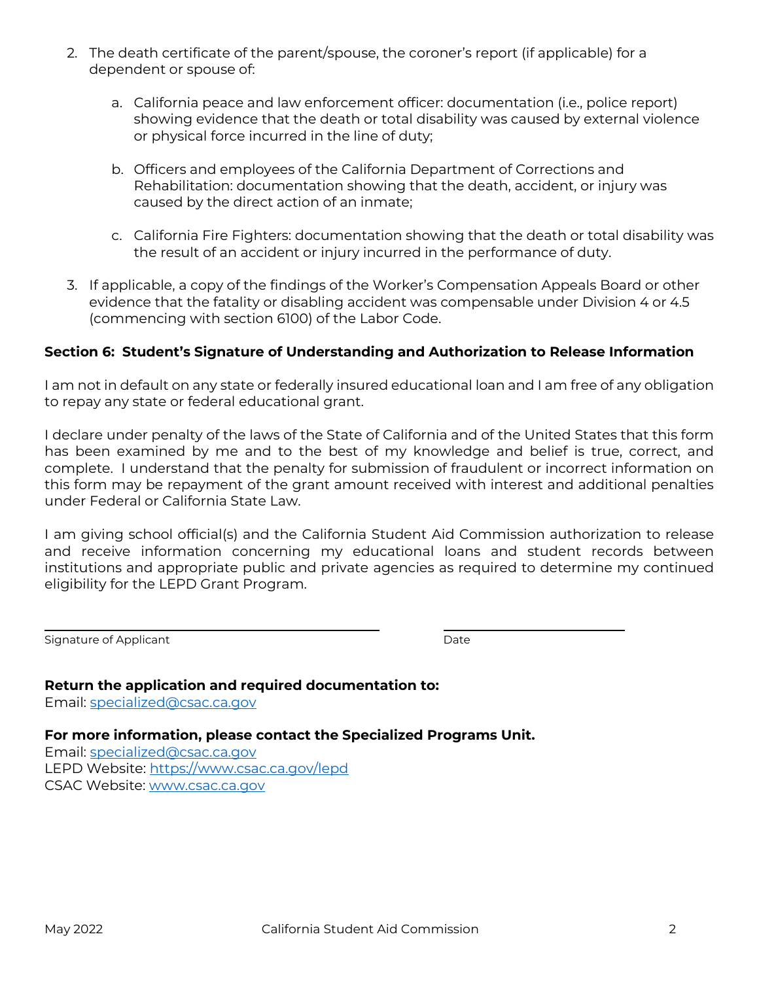- 2. The death certificate of the parent/spouse, the coroner's report (if applicable) for a dependent or spouse of:
	- a. California peace and law enforcement officer: documentation (i.e., police report) showing evidence that the death or total disability was caused by external violence or physical force incurred in the line of duty;
	- Rehabilitation: documentation showing that the death, accident, or injury was b. Officers and employees of the California Department of Corrections and caused by the direct action of an inmate;
	- the result of an accident or injury incurred in the performance of duty. c. California Fire Fighters: documentation showing that the death or total disability was
- 3. If applicable, a copy of the findings of the Worker's Compensation Appeals Board or other evidence that the fatality or disabling accident was compensable under Division 4 or 4.5 (commencing with section 6100) of the Labor Code.

## **Section 6: Student's Signature of Understanding and Authorization to Release Information**

I am not in default on any state or federally insured educational loan and I am free of any obligation to repay any state or federal educational grant.

 complete. I understand that the penalty for submission of fraudulent or incorrect information on under Federal or California State Law. I declare under penalty of the laws of the State of California and of the United States that this form has been examined by me and to the best of my knowledge and belief is true, correct, and this form may be repayment of the grant amount received with interest and additional penalties

I am giving school official(s) and the California Student Aid Commission authorization to release and receive information concerning my educational loans and student records between institutions and appropriate public and private agencies as required to determine my continued eligibility for the LEPD Grant Program.

Signature of Applicant **Date** Date Date Date Date

**Return the application and required documentation to:** 

Email: [specialized@csac.ca.gov](mailto:specialized@csac.ca.gov) 

 **For more information, please contact the Specialized Programs Unit.** 

LEPD Website: https://www.csac.ca.gov/lepd CSAC Website: www.csac.ca.gov Email: [specialized@csac.ca.gov](mailto:specialized@csac.ca.gov)  LEPD Website: <u>https://www.csac.ca.gov/lepd</u><br>CSAC Website: <u>www.csac.ca.gov</u><br>May 2022 California Student Aid Commission 2